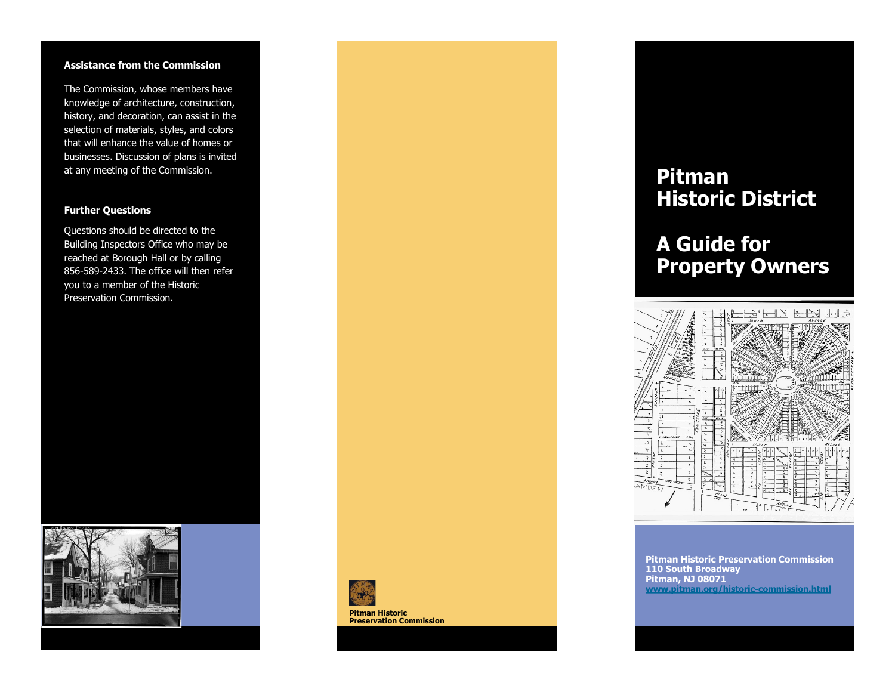### **Assistance from the Commission**

The Commission, whose members have knowledge of architecture, construction, history, and decoration, can assist in the selection of materials, styles, and colors that will enhance the value of homes or businesses. Discussion of plans is invited at any meeting of the Commission.

### **Further Questions**

Questions should be directed to the Building Inspectors Office who may be reached at Borough Hall or by calling 856-589-2433. The office will then refer you to a member of the Historic Preservation Commission.





**Pitman Historic Preservation Commission**

## **Pitman Historic District**

# **A Guide for Property Owners**



**Pitman Historic Preservation Commission 110 South Broadway Pitman, NJ 08071**